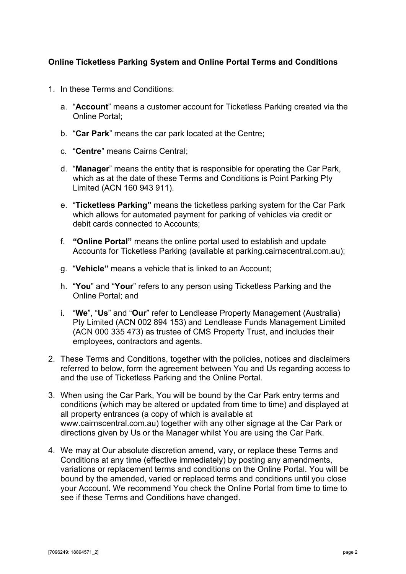# **Online Ticketless Parking System and Online Portal Terms and Conditions**

- 1. In these Terms and Conditions:
	- a. "**Account**" means a customer account for Ticketless Parking created via the Online Portal;
	- b. "**Car Park**" means the car park located at the Centre;
	- c. "**Centre**" means Cairns Central;
	- d. "**Manager**" means the entity that is responsible for operating the Car Park, which as at the date of these Terms and Conditions is Point Parking Pty Limited (ACN 160 943 911).
	- e. "**Ticketless Parking"** means the ticketless parking system for the Car Park which allows for automated payment for parking of vehicles via credit or debit cards connected to Accounts;
	- f. **"Online Portal"** means the online portal used to establish and update Accounts for Ticketless Parking (available at parking.cairnscentral.com.au);
	- g. "**Vehicle"** means a vehicle that is linked to an Account;
	- h. "**You**" and "**Your**" refers to any person using Ticketless Parking and the Online Portal; and
	- i. "**We**", "**Us**" and "**Our**" refer to Lendlease Property Management (Australia) Pty Limited (ACN 002 894 153) and Lendlease Funds Management Limited (ACN 000 335 473) as trustee of CMS Property Trust, and includes their employees, contractors and agents.
- 2. These Terms and Conditions, together with the policies, notices and disclaimers referred to below, form the agreement between You and Us regarding access to and the use of Ticketless Parking and the Online Portal.
- 3. When using the Car Park, You will be bound by the Car Park entry terms and conditions (which may be altered or updated from time to time) and displayed at all property entrances (a copy of which is available at www.cairnscentral.com.au) together with any other signage at the Car Park or directions given by Us or the Manager whilst You are using the Car Park.
- 4. We may at Our absolute discretion amend, vary, or replace these Terms and Conditions at any time (effective immediately) by posting any amendments, variations or replacement terms and conditions on the Online Portal. You will be bound by the amended, varied or replaced terms and conditions until you close your Account. We recommend You check the Online Portal from time to time to see if these Terms and Conditions have changed.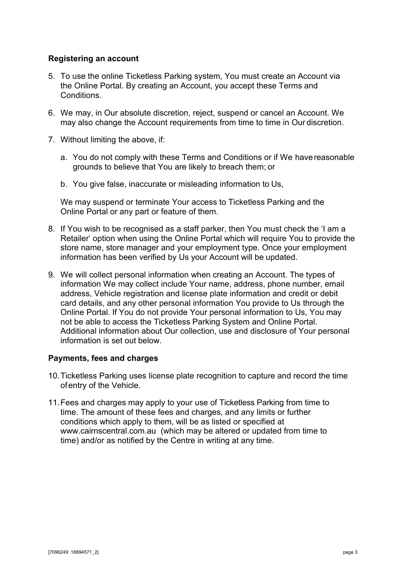## **Registering an account**

- 5. To use the online Ticketless Parking system, You must create an Account via the Online Portal. By creating an Account, you accept these Terms and Conditions.
- 6. We may, in Our absolute discretion, reject, suspend or cancel an Account. We may also change the Account requirements from time to time in Our discretion.
- 7. Without limiting the above, if:
	- a. You do not comply with these Terms and Conditions or if We havereasonable grounds to believe that You are likely to breach them; or
	- b. You give false, inaccurate or misleading information to Us,

We may suspend or terminate Your access to Ticketless Parking and the Online Portal or any part or feature of them.

- 8. If You wish to be recognised as a staff parker, then You must check the 'I am a Retailer' option when using the Online Portal which will require You to provide the store name, store manager and your employment type. Once your employment information has been verified by Us your Account will be updated.
- 9. We will collect personal information when creating an Account. The types of information We may collect include Your name, address, phone number, email address, Vehicle registration and license plate information and credit or debit card details, and any other personal information You provide to Us through the Online Portal. If You do not provide Your personal information to Us, You may not be able to access the Ticketless Parking System and Online Portal. Additional information about Our collection, use and disclosure of Your personal information is set out below.

### **Payments, fees and charges**

- 10.Ticketless Parking uses license plate recognition to capture and record the time ofentry of the Vehicle.
- 11.Fees and charges may apply to your use of Ticketless Parking from time to time. The amount of these fees and charges, and any limits or further conditions which apply to them, will be as listed or specified at www.cairnscentral.com.au (which may be altered or updated from time to time) and/or as notified by the Centre in writing at any time.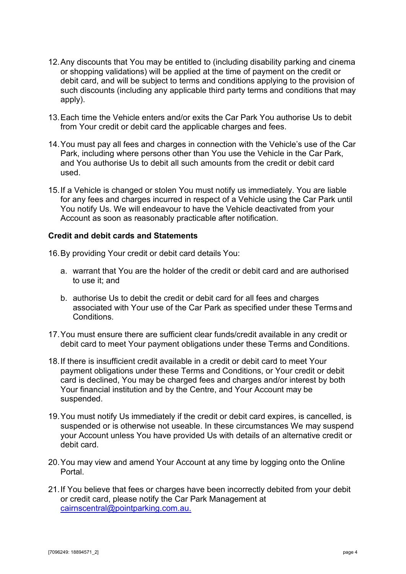- 12.Any discounts that You may be entitled to (including disability parking and cinema or shopping validations) will be applied at the time of payment on the credit or debit card, and will be subject to terms and conditions applying to the provision of such discounts (including any applicable third party terms and conditions that may apply).
- 13.Each time the Vehicle enters and/or exits the Car Park You authorise Us to debit from Your credit or debit card the applicable charges and fees.
- 14.You must pay all fees and charges in connection with the Vehicle's use of the Car Park, including where persons other than You use the Vehicle in the Car Park, and You authorise Us to debit all such amounts from the credit or debit card used.
- 15.If a Vehicle is changed or stolen You must notify us immediately. You are liable for any fees and charges incurred in respect of a Vehicle using the Car Park until You notify Us. We will endeavour to have the Vehicle deactivated from your Account as soon as reasonably practicable after notification.

#### **Credit and debit cards and Statements**

16.By providing Your credit or debit card details You:

- a. warrant that You are the holder of the credit or debit card and are authorised to use it; and
- b. authorise Us to debit the credit or debit card for all fees and charges associated with Your use of the Car Park as specified under these Termsand Conditions.
- 17.You must ensure there are sufficient clear funds/credit available in any credit or debit card to meet Your payment obligations under these Terms and Conditions.
- 18.If there is insufficient credit available in a credit or debit card to meet Your payment obligations under these Terms and Conditions, or Your credit or debit card is declined, You may be charged fees and charges and/or interest by both Your financial institution and by the Centre, and Your Account may be suspended.
- 19.You must notify Us immediately if the credit or debit card expires, is cancelled, is suspended or is otherwise not useable. In these circumstances We may suspend your Account unless You have provided Us with details of an alternative credit or debit card.
- 20.You may view and amend Your Account at any time by logging onto the Online Portal.
- 21.If You believe that fees or charges have been incorrectly debited from your debit or credit card, please notify the Car Park Management at [cairnscentral@pointparking.com.au.](mailto:cairnscentral@pointparking.com.au.)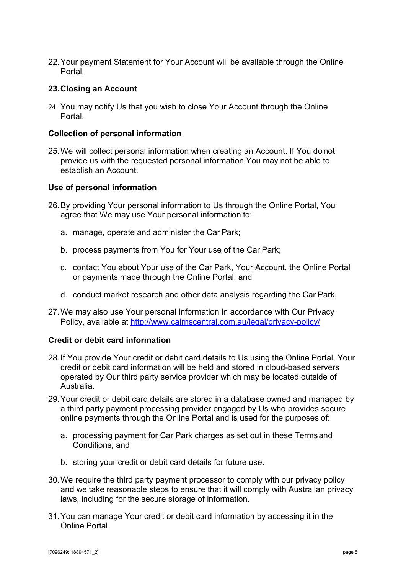22.Your payment Statement for Your Account will be available through the Online Portal.

## **23.Closing an Account**

24. You may notify Us that you wish to close Your Account through the Online **Portal** 

### **Collection of personal information**

25.We will collect personal information when creating an Account. If You do not provide us with the requested personal information You may not be able to establish an Account.

### **Use of personal information**

- 26.By providing Your personal information to Us through the Online Portal, You agree that We may use Your personal information to:
	- a. manage, operate and administer the Car Park;
	- b. process payments from You for Your use of the Car Park;
	- c. contact You about Your use of the Car Park, Your Account, the Online Portal or payments made through the Online Portal; and
	- d. conduct market research and other data analysis regarding the Car Park.
- 27.We may also use Your personal information in accordance with Our Privacy Policy, available at <http://www.cairnscentral.com.au/legal/privacy-policy/>

### **Credit or debit card information**

- 28.If You provide Your credit or debit card details to Us using the Online Portal, Your credit or debit card information will be held and stored in cloud-based servers operated by Our third party service provider which may be located outside of Australia.
- 29.Your credit or debit card details are stored in a database owned and managed by a third party payment processing provider engaged by Us who provides secure online payments through the Online Portal and is used for the purposes of:
	- a. processing payment for Car Park charges as set out in these Termsand Conditions; and
	- b. storing your credit or debit card details for future use.
- 30.We require the third party payment processor to comply with our privacy policy and we take reasonable steps to ensure that it will comply with Australian privacy laws, including for the secure storage of information.
- 31.You can manage Your credit or debit card information by accessing it in the Online Portal.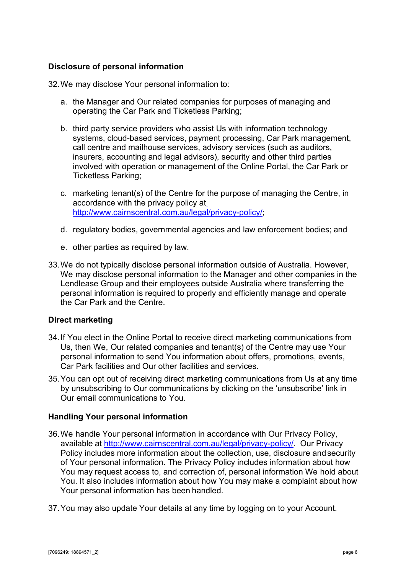## **Disclosure of personal information**

32.We may disclose Your personal information to:

- a. the Manager and Our related companies for purposes of managing and operating the Car Park and Ticketless Parking;
- b. third party service providers who assist Us with information technology systems, cloud-based services, payment processing, Car Park management, call centre and mailhouse services, advisory services (such as auditors, insurers, accounting and legal advisors), security and other third parties involved with operation or management of the Online Portal, the Car Park or Ticketless Parking;
- c. marketing tenant(s) of the Centre fo[r the purpose of managing the Centre, in](http://www.sunshineplaza.com/legal/privacy-policy/)  accordance with the privacy policy at [http://www.cairnscentral.com.au/legal/privacy-policy/;](http://www.sunshineplaza.com/legal/privacy-policy/)
- d. regulatory bodies, governmental agencies and law enforcement bodies; and
- e. other parties as required by law.
- 33.We do not typically disclose personal information outside of Australia. However, We may disclose personal information to the Manager and other companies in the Lendlease Group and their employees outside Australia where transferring the personal information is required to properly and efficiently manage and operate the Car Park and the Centre.

### **Direct marketing**

- 34.If You elect in the Online Portal to receive direct marketing communications from Us, then We, Our related companies and tenant(s) of the Centre may use Your personal information to send You information about offers, promotions, events, Car Park facilities and Our other facilities and services.
- 35.You can opt out of receiving direct marketing communications from Us at any time by unsubscribing to Our communications by clicking on the 'unsubscribe' link in Our email communications to You.

### **Handling Your personal information**

- 36.We handle Your personal information in accordance with Our Privacy Policy, available at [http://www.cairnscentral.com.au/legal/privacy-policy/.](http://www.cairnscentral.com.au/legal/privacy-policy/) Our Privacy Policy includes more information about the collection, use, disclosure andsecurity of Your personal information. The Privacy Policy includes information about how You may request access to, and correction of, personal information We hold about You. It also includes information about how You may make a complaint about how Your personal information has been handled.
- 37.You may also update Your details at any time by logging on to your Account.